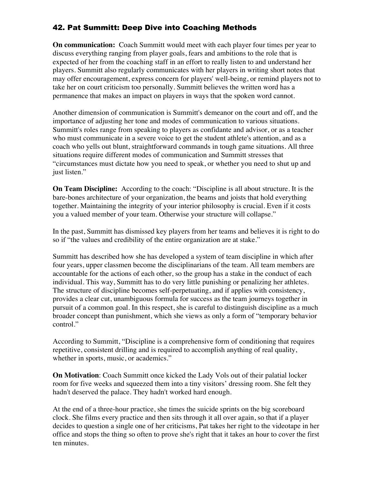## 42. Pat Summitt: Deep Dive into Coaching Methods

**On communication:** Coach Summitt would meet with each player four times per year to discuss everything ranging from player goals, fears and ambitions to the role that is expected of her from the coaching staff in an effort to really listen to and understand her players. Summitt also regularly communicates with her players in writing short notes that may offer encouragement, express concern for players' well-being, or remind players not to take her on court criticism too personally. Summitt believes the written word has a permanence that makes an impact on players in ways that the spoken word cannot.

Another dimension of communication is Summitt's demeanor on the court and off, and the importance of adjusting her tone and modes of communication to various situations. Summitt's roles range from speaking to players as confidante and advisor, or as a teacher who must communicate in a severe voice to get the student athlete's attention, and as a coach who yells out blunt, straightforward commands in tough game situations. All three situations require different modes of communication and Summitt stresses that "circumstances must dictate how you need to speak, or whether you need to shut up and just listen."

**On Team Discipline:** According to the coach: "Discipline is all about structure. It is the bare-bones architecture of your organization, the beams and joists that hold everything together. Maintaining the integrity of your interior philosophy is crucial. Even if it costs you a valued member of your team. Otherwise your structure will collapse."

In the past, Summitt has dismissed key players from her teams and believes it is right to do so if "the values and credibility of the entire organization are at stake."

Summitt has described how she has developed a system of team discipline in which after four years, upper classmen become the disciplinarians of the team. All team members are accountable for the actions of each other, so the group has a stake in the conduct of each individual. This way, Summitt has to do very little punishing or penalizing her athletes. The structure of discipline becomes self-perpetuating, and if applies with consistency, provides a clear cut, unambiguous formula for success as the team journeys together in pursuit of a common goal. In this respect, she is careful to distinguish discipline as a much broader concept than punishment, which she views as only a form of "temporary behavior control."

According to Summitt, "Discipline is a comprehensive form of conditioning that requires repetitive, consistent drilling and is required to accomplish anything of real quality, whether in sports, music, or academics."

**On Motivation**: Coach Summitt once kicked the Lady Vols out of their palatial locker room for five weeks and squeezed them into a tiny visitors' dressing room. She felt they hadn't deserved the palace. They hadn't worked hard enough.

At the end of a three-hour practice, she times the suicide sprints on the big scoreboard clock. She films every practice and then sits through it all over again, so that if a player decides to question a single one of her criticisms, Pat takes her right to the videotape in her office and stops the thing so often to prove she's right that it takes an hour to cover the first ten minutes.